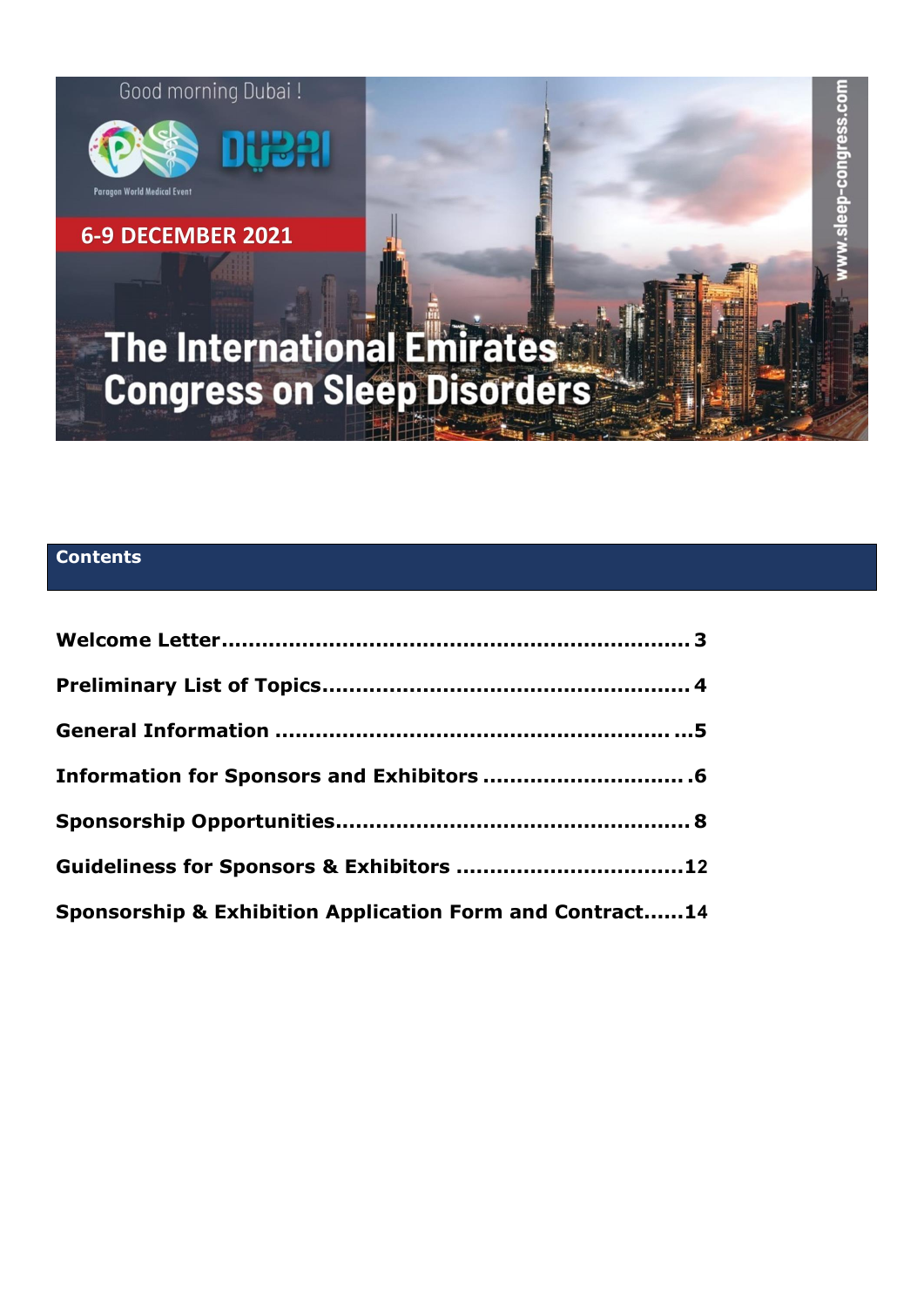

# **Contents**

| Information for Sponsors and Exhibitors  . 6             |  |
|----------------------------------------------------------|--|
|                                                          |  |
| Guideliness for Sponsors & Exhibitors 12                 |  |
| Sponsorship & Exhibition Application Form and Contract14 |  |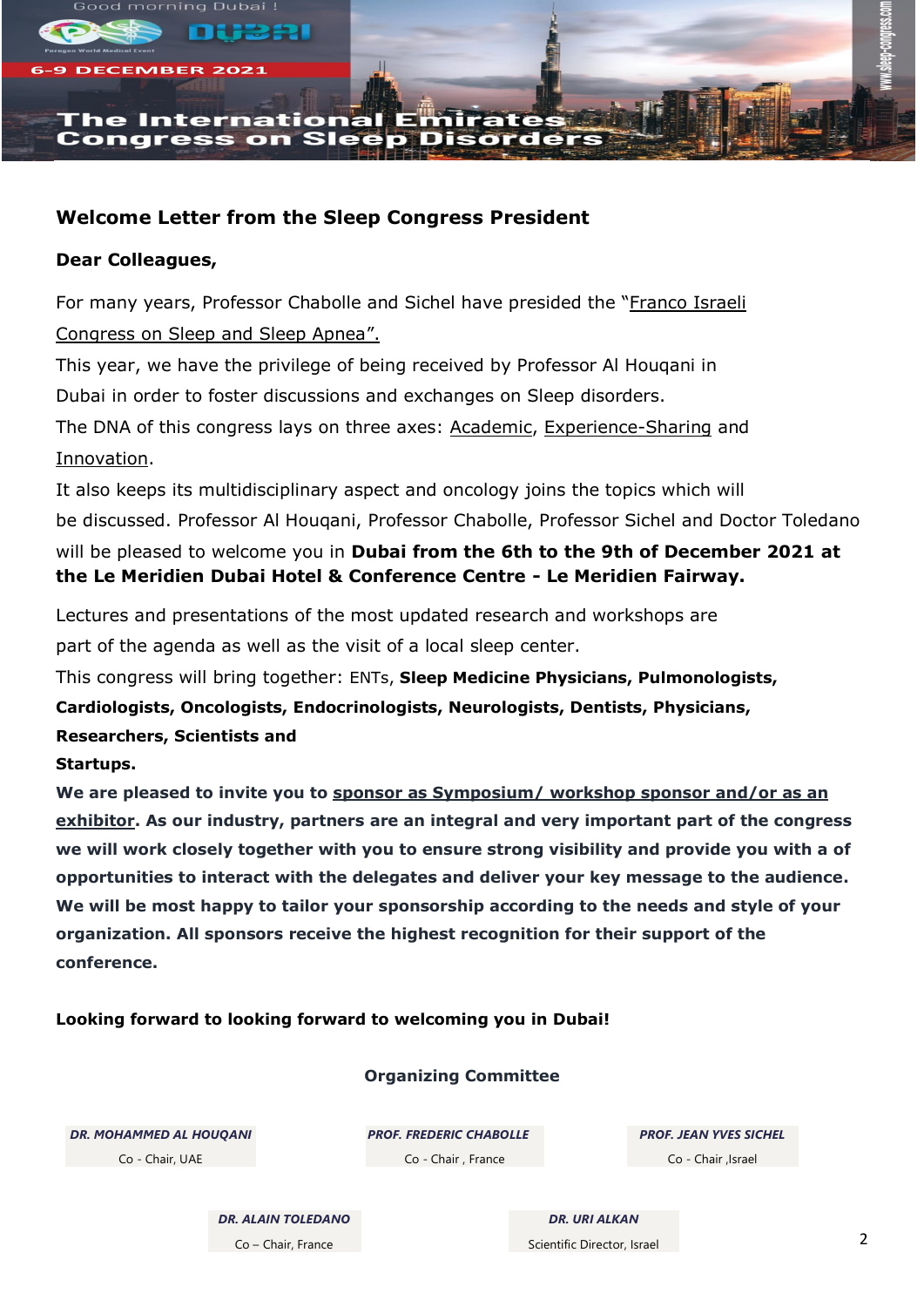

# **Welcome Letter from the Sleep Congress President**

# **Dear Colleagues,**

For many years, Professor Chabolle and Sichel have presided the "Franco Israeli Congress on Sleep and Sleep Apnea".

This year, we have the privilege of being received by Professor Al Houqani in

Dubai in order to foster discussions and exchanges on Sleep disorders.

The DNA of this congress lays on three axes: Academic, Experience-Sharing and Innovation.

It also keeps its multidisciplinary aspect and oncology joins the topics which will be discussed. Professor Al Houqani, Professor Chabolle, Professor Sichel and Doctor Toledano will be pleased to welcome you in **Dubai from the 6th to the 9th of December 2021 at the Le Meridien Dubai Hotel & Conference Centre - Le Meridien Fairway.**

Lectures and presentations of the most updated research and workshops are

part of the agenda as well as the visit of a local sleep center.

This congress will bring together: ENTs, **Sleep Medicine Physicians, Pulmonologists, Cardiologists, Oncologists, Endocrinologists, Neurologists, Dentists, Physicians, Researchers, Scientists and**

# **Startups.**

**We are pleased to invite you to sponsor as Symposium/ workshop sponsor and/or as an exhibitor. As our industry, partners are an integral and very important part of the congress we will work closely together with you to ensure strong visibility and provide you with a of opportunities to interact with the delegates and deliver your key message to the audience. We will be most happy to tailor your sponsorship according to the needs and style of your organization. All sponsors receive the highest recognition for their support of the conference.**

# **Looking forward to looking forward to welcoming you in Dubai!**

# **Organizing Committee**

*DR. MOHAMMED AL HOUQANI* Co - Chair, UAE

*PROF. FREDERIC CHABOLLE* Co - Chair , France

*PROF. JEAN YVES SICHEL* Co - Chair ,Israel

*DR. ALAIN TOLEDANO* Co – Chair, France

*DR. URI ALKAN* Scientific Director, Israel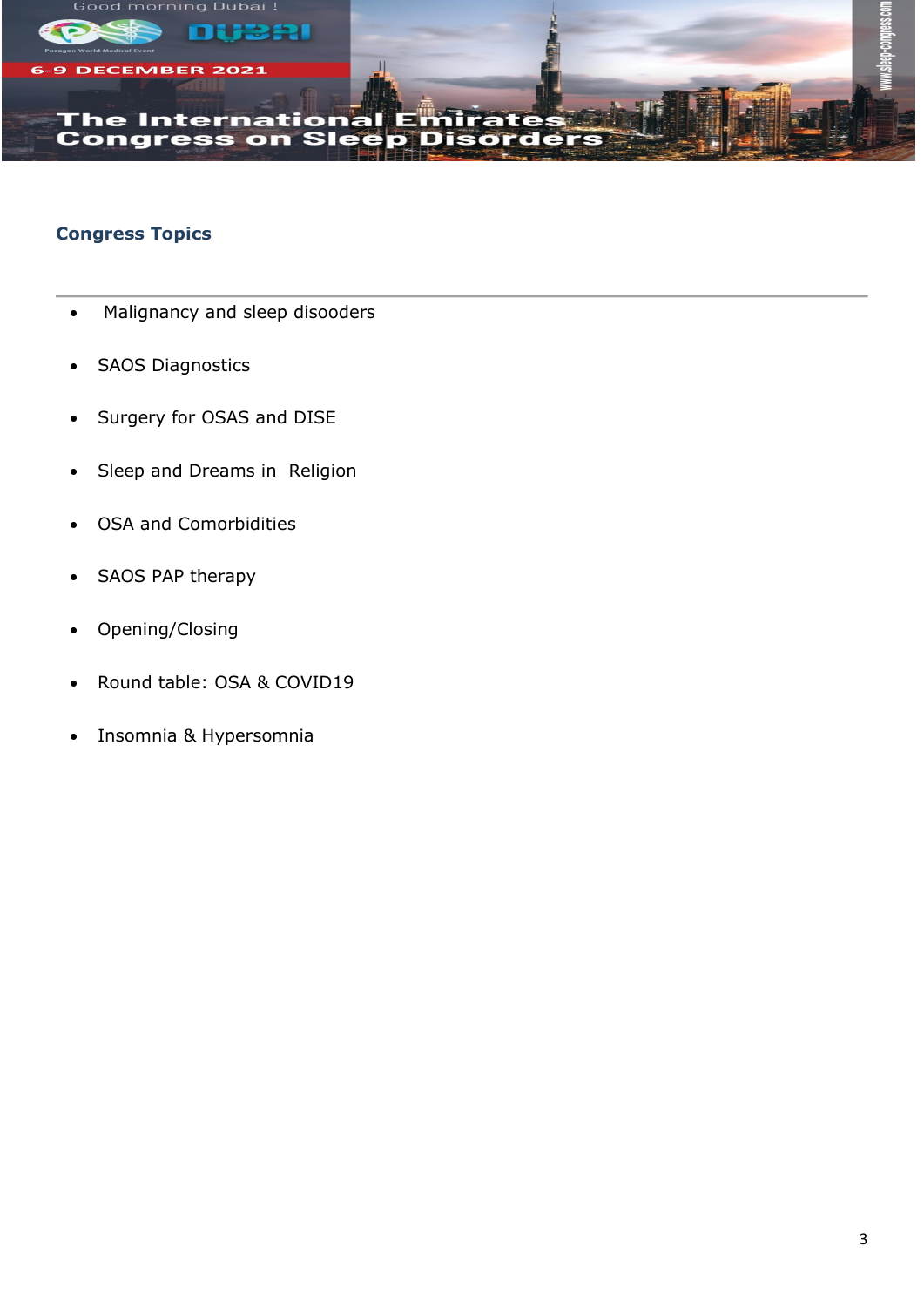

# **Congress Topics**

- Malignancy and sleep disooders
- SAOS Diagnostics
- Surgery for OSAS and DISE
- Sleep and Dreams in Religion
- OSA and Comorbidities
- SAOS PAP therapy
- Opening/Closing
- Round table: OSA & COVID19
- Insomnia & Hypersomnia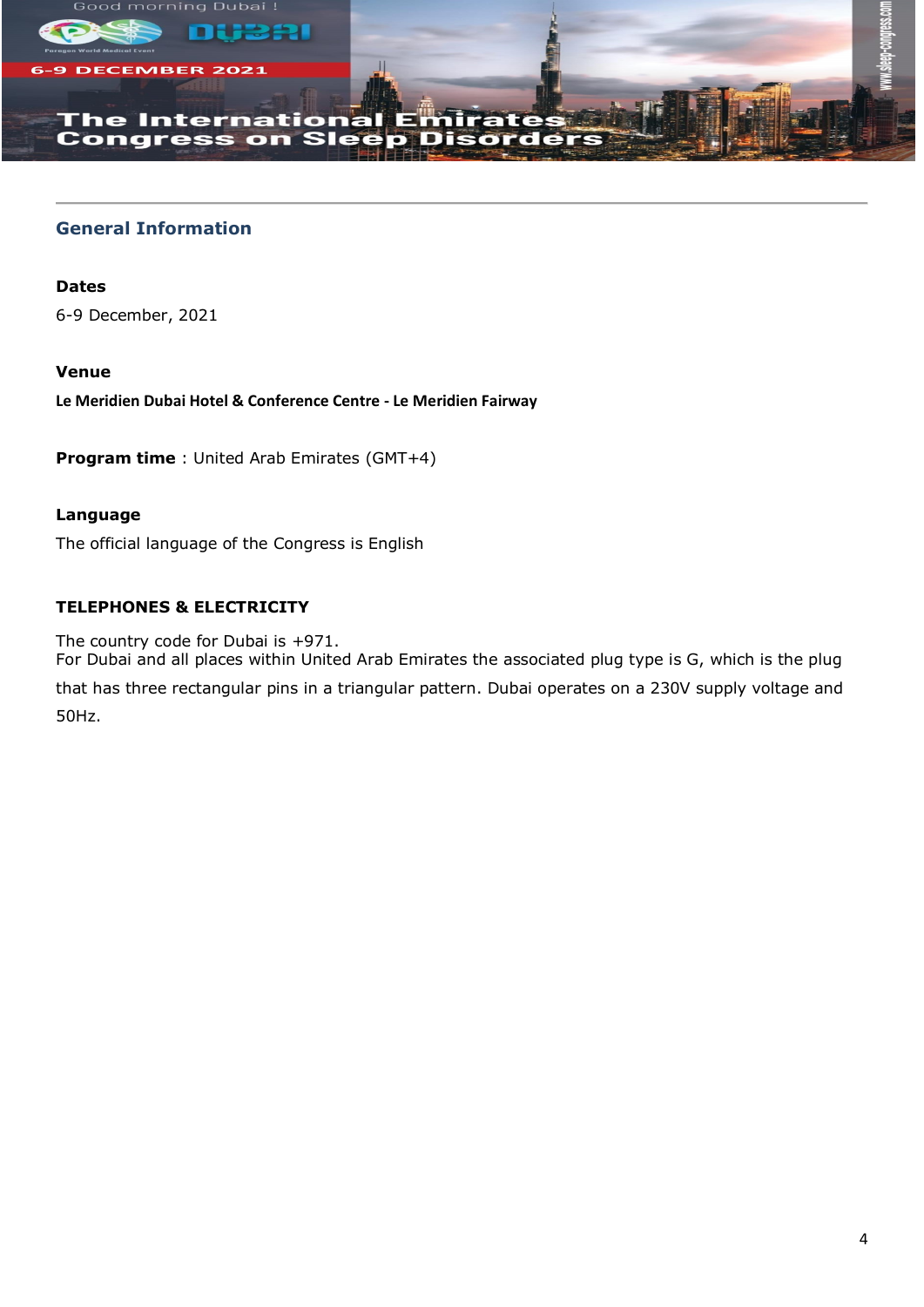



#### **The International** ., **Congress**  $\mathbf{on}$ Sle

221

# **General Information**

**Dates**

6-9 December, 2021

# **Venue**

**Le Meridien Dubai Hotel & Conference Centre - Le Meridien Fairway**

**Program time** : United Arab Emirates (GMT+4)

# **Language**

The official language of the Congress is English

# **TELEPHONES & ELECTRICITY**

The country code for Dubai is +971.

For Dubai and all places within United Arab Emirates the associated plug type is G, which is the plug that has three rectangular pins in a triangular pattern. Dubai operates on a 230V supply voltage and 50Hz.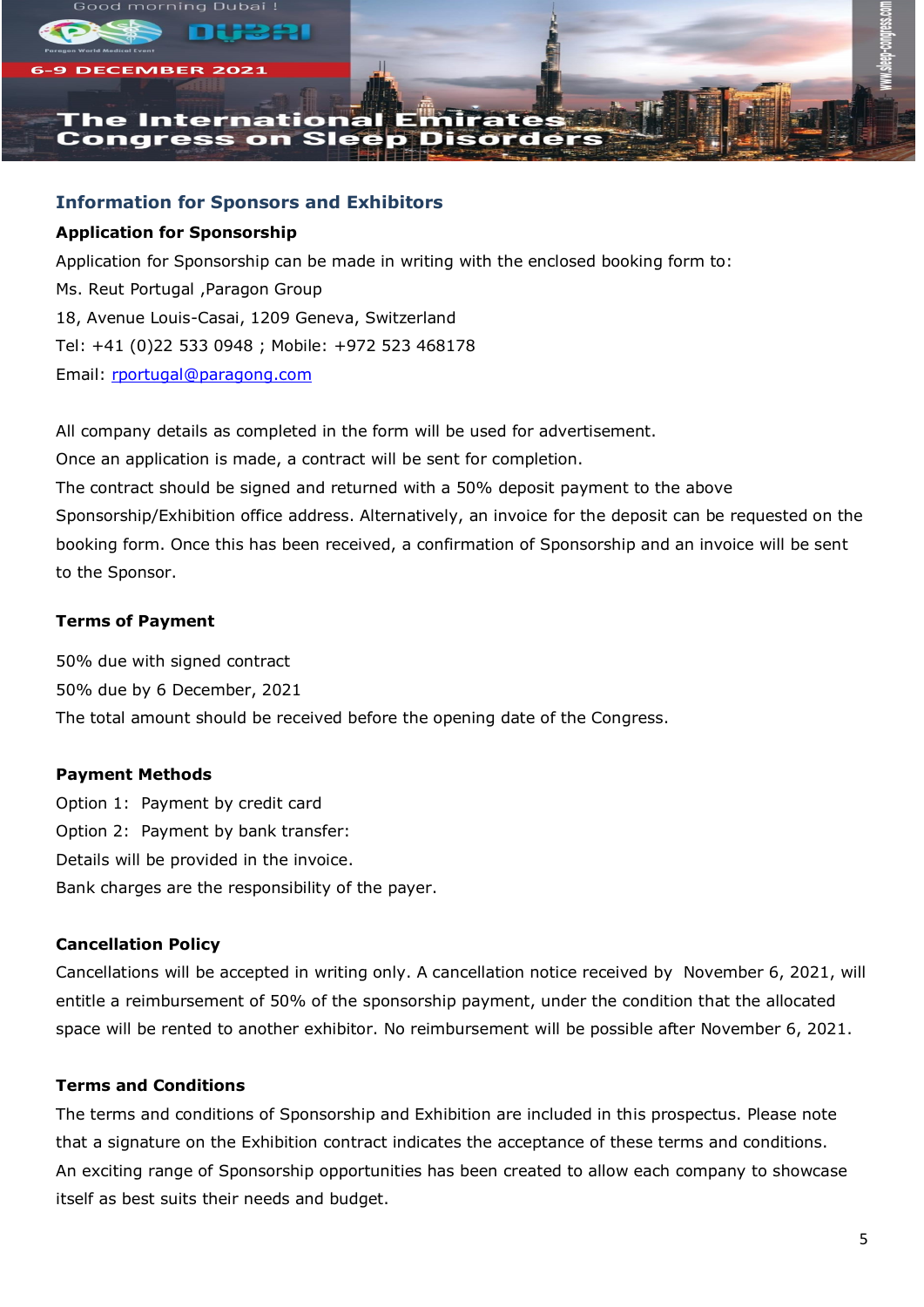

# **Information for Sponsors and Exhibitors**

# **Application for Sponsorship**

Application for Sponsorship can be made in writing with the enclosed booking form to: Ms. Reut Portugal ,Paragon Group 18, Avenue Louis-Casai, 1209 Geneva, Switzerland Tel: +41 (0)22 533 0948 ; Mobile: +972 523 468178 Email: [rportugal@paragong.com](mailto:rportugal@paragong.com)

All company details as completed in the form will be used for advertisement. Once an application is made, a contract will be sent for completion. The contract should be signed and returned with a 50% deposit payment to the above Sponsorship/Exhibition office address. Alternatively, an invoice for the deposit can be requested on the

booking form. Once this has been received, a confirmation of Sponsorship and an invoice will be sent to the Sponsor.

# **Terms of Payment**

50% due with signed contract 50% due by 6 December, 2021 The total amount should be received before the opening date of the Congress.

# **Payment Methods**

Option 1: Payment by credit card Option 2: Payment by bank transfer: Details will be provided in the invoice. Bank charges are the responsibility of the payer.

# **Cancellation Policy**

Cancellations will be accepted in writing only. A cancellation notice received by November 6, 2021, will entitle a reimbursement of 50% of the sponsorship payment, under the condition that the allocated space will be rented to another exhibitor. No reimbursement will be possible after November 6, 2021.

## **Terms and Conditions**

The terms and conditions of Sponsorship and Exhibition are included in this prospectus. Please note that a signature on the Exhibition contract indicates the acceptance of these terms and conditions. An exciting range of Sponsorship opportunities has been created to allow each company to showcase itself as best suits their needs and budget.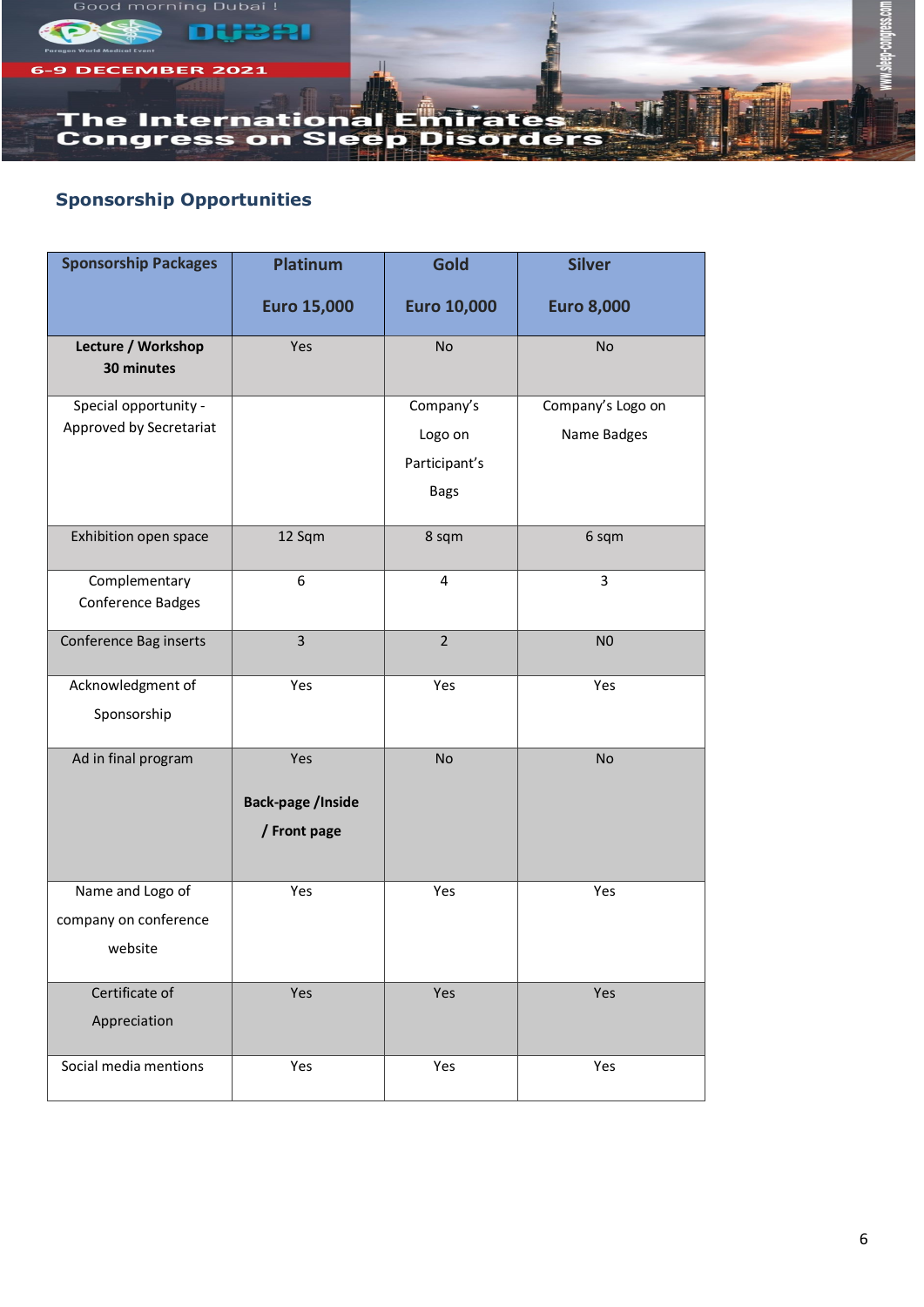

# **Sponsorship Opportunities**

| <b>Sponsorship Packages</b>                          | <b>Platinum</b>                                 | Gold                                                 | <b>Silver</b>                    |
|------------------------------------------------------|-------------------------------------------------|------------------------------------------------------|----------------------------------|
|                                                      | <b>Euro 15,000</b>                              | <b>Euro 10,000</b>                                   | <b>Euro 8,000</b>                |
| Lecture / Workshop<br>30 minutes                     | Yes                                             | No                                                   | No                               |
| Special opportunity -<br>Approved by Secretariat     |                                                 | Company's<br>Logo on<br>Participant's<br><b>Bags</b> | Company's Logo on<br>Name Badges |
| Exhibition open space                                | 12 Sqm                                          | 8 sqm                                                | 6 sqm                            |
| Complementary<br>Conference Badges                   | 6                                               | $\overline{4}$                                       | 3                                |
| Conference Bag inserts                               | 3                                               | $\overline{2}$                                       | N <sub>0</sub>                   |
| Acknowledgment of<br>Sponsorship                     | Yes                                             | Yes                                                  | Yes                              |
| Ad in final program                                  | Yes<br><b>Back-page /Inside</b><br>/ Front page | No                                                   | No                               |
| Name and Logo of<br>company on conference<br>website | Yes                                             | Yes                                                  | Yes                              |
| Certificate of<br>Appreciation                       | Yes                                             | Yes                                                  | Yes                              |
| Social media mentions                                | Yes                                             | Yes                                                  | Yes                              |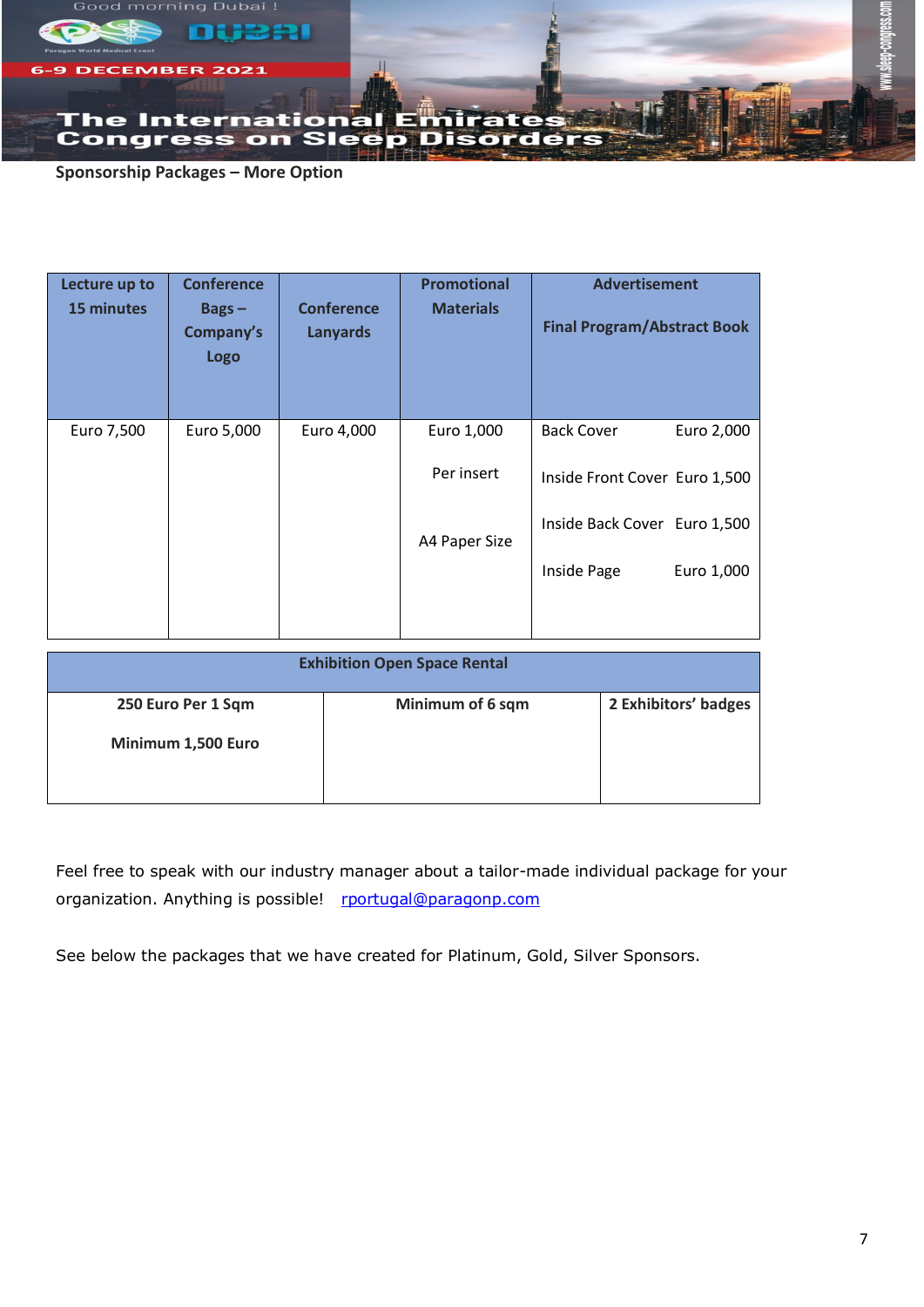

**Sponsorship Packages – More Option**

| Lecture up to<br><b>15 minutes</b> | <b>Conference</b><br>$Bags -$<br>Company's<br><b>Logo</b> | <b>Conference</b><br><b>Lanyards</b> | <b>Promotional</b><br><b>Materials</b> | <b>Advertisement</b><br><b>Final Program/Abstract Book</b>       |
|------------------------------------|-----------------------------------------------------------|--------------------------------------|----------------------------------------|------------------------------------------------------------------|
| Euro 7,500                         | Euro 5,000                                                | Euro 4,000                           | Euro 1,000<br>Per insert               | <b>Back Cover</b><br>Euro 2,000<br>Inside Front Cover Euro 1,500 |
|                                    |                                                           |                                      | A4 Paper Size                          | Inside Back Cover Euro 1,500<br>Inside Page<br>Euro 1,000        |

| <b>Exhibition Open Space Rental</b> |                  |                      |  |
|-------------------------------------|------------------|----------------------|--|
| 250 Euro Per 1 Sqm                  | Minimum of 6 sqm | 2 Exhibitors' badges |  |
| Minimum 1,500 Euro                  |                  |                      |  |

Feel free to speak with our industry manager about a tailor-made individual package for your organization. Anything is possible! [rportugal@paragonp.com](mailto:rportugal@paragonp.com)

See below the packages that we have created for Platinum, Gold, Silver Sponsors.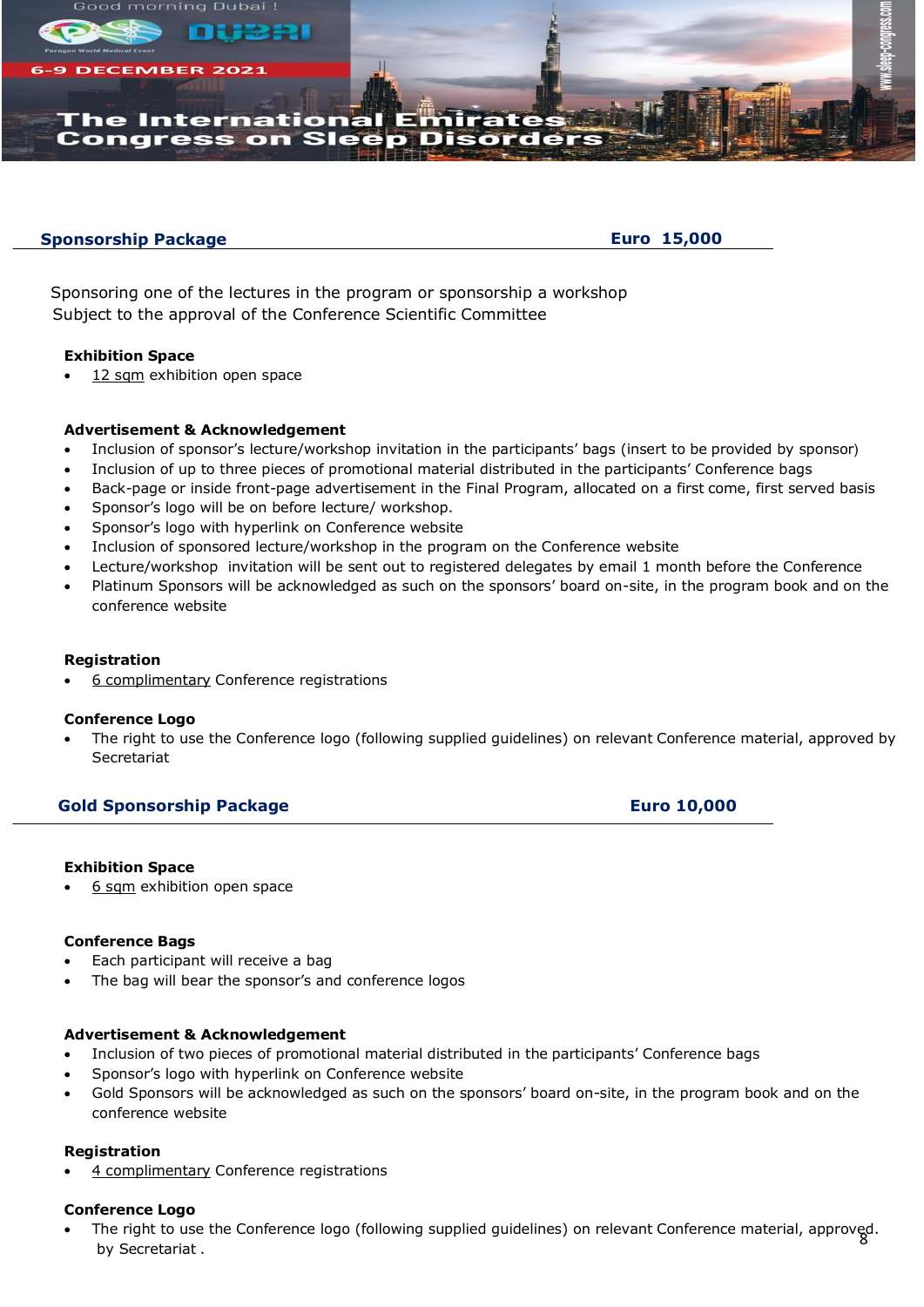

## **Sponsorship Package**

 **Euro 15,000**

Sponsoring one of the lectures in the program or sponsorship a workshop Subject to the approval of the Conference Scientific Committee

### ❖ **Exhibition Space**

12 sqm exhibition open space

### ❖ **Advertisement & Acknowledgement**

- Inclusion of sponsor's lecture/workshop invitation in the participants' bags (insert to be provided by sponsor)
- Inclusion of up to three pieces of promotional material distributed in the participants' Conference bags
- Back-page or inside front-page advertisement in the Final Program, allocated on a first come, first served basis
- Sponsor's logo will be on before lecture/ workshop.
- Sponsor's logo with hyperlink on Conference website
- Inclusion of sponsored lecture/workshop in the program on the Conference website
- Lecture/workshop invitation will be sent out to registered delegates by email 1 month before the Conference
- Platinum Sponsors will be acknowledged as such on the sponsors' board on-site, in the program book and on the conference website

#### ❖ **Registration**

• 6 complimentary Conference registrations

#### ❖ **Conference Logo**

• The right to use the Conference logo (following supplied guidelines) on relevant Conference material, approved by **Secretariat** 

# **Gold Sponsorship Package Euro Euro 10,000**

#### ❖ **Exhibition Space**

6 sqm exhibition open space

#### ❖ **Conference Bags**

- Each participant will receive a bag
- The bag will bear the sponsor's and conference logos

#### ❖ **Advertisement & Acknowledgement**

- Inclusion of two pieces of promotional material distributed in the participants' Conference bags
- Sponsor's logo with hyperlink on Conference website
- Gold Sponsors will be acknowledged as such on the sponsors' board on-site, in the program book and on the conference website

#### ❖ **Registration**

4 complimentary Conference registrations

### ❖ **Conference Logo**

• The right to use the Conference logo (following supplied guidelines) on relevant Conference material, approved.<br>hy Secretariat by Secretariat .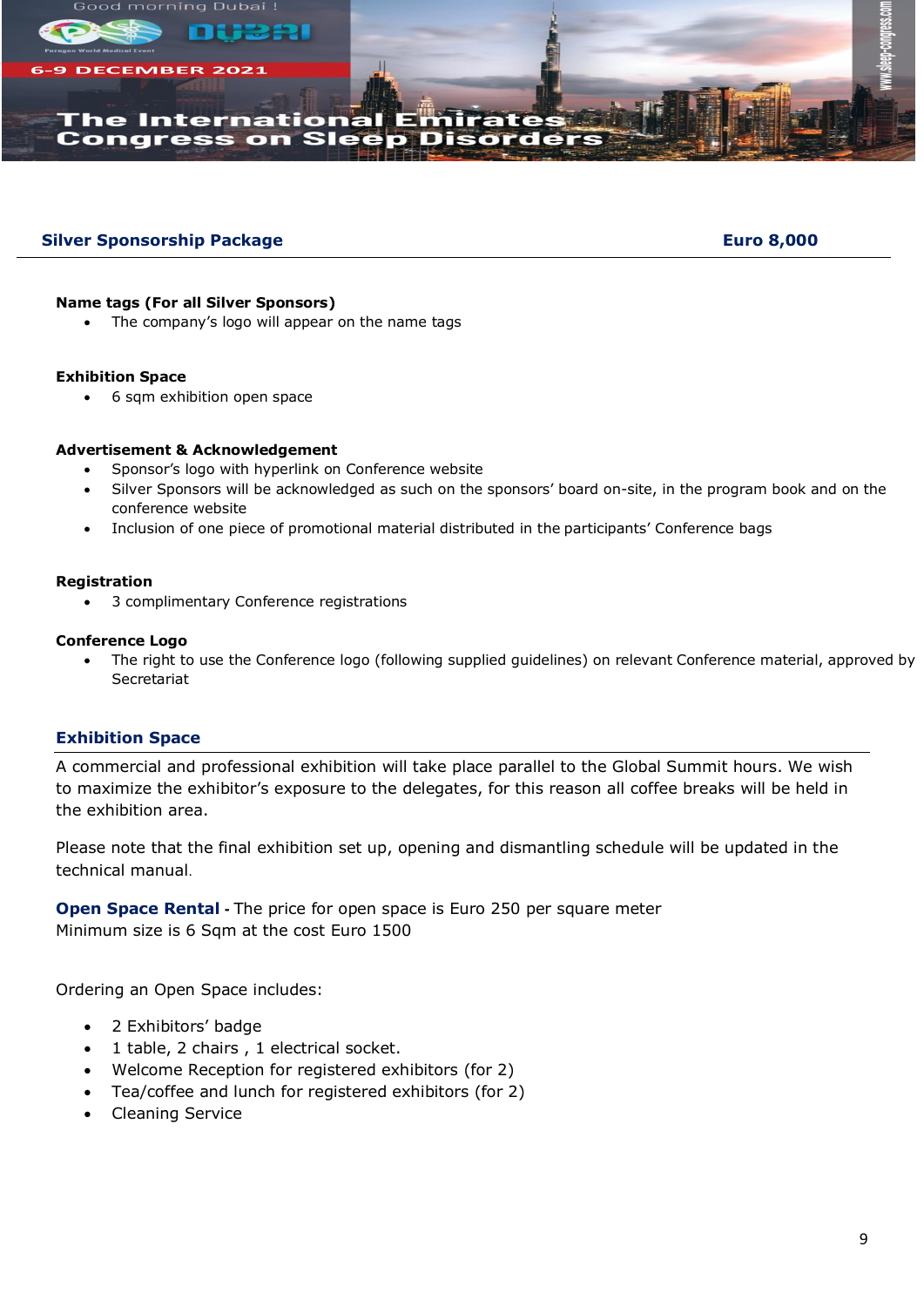

# **Silver Sponsorship Package Euro 8,000**

## **Name tags (For all Silver Sponsors)**

The company's logo will appear on the name tags

### **Exhibition Space**

• 6 sqm exhibition open space

## **Advertisement & Acknowledgement**

- Sponsor's logo with hyperlink on Conference website
- Silver Sponsors will be acknowledged as such on the sponsors' board on-site, in the program book and on the conference website
- Inclusion of one piece of promotional material distributed in the participants' Conference bags

## **Registration**

• 3 complimentary Conference registrations

## **Conference Logo**

• The right to use the Conference logo (following supplied guidelines) on relevant Conference material, approved by Secretariat

## **Exhibition Space**

A commercial and professional exhibition will take place parallel to the Global Summit hours. We wish to maximize the exhibitor's exposure to the delegates, for this reason all coffee breaks will be held in the exhibition area.

Please note that the final exhibition set up, opening and dismantling schedule will be updated in the technical manual.

**Open Space Rental -** The price for open space is Euro 250 per square meter Minimum size is 6 Sqm at the cost Euro 1500

Ordering an Open Space includes:

- 2 Exhibitors' badge
- 1 table, 2 chairs , 1 electrical socket.
- Welcome Reception for registered exhibitors (for 2)
- Tea/coffee and lunch for registered exhibitors (for 2)
- Cleaning Service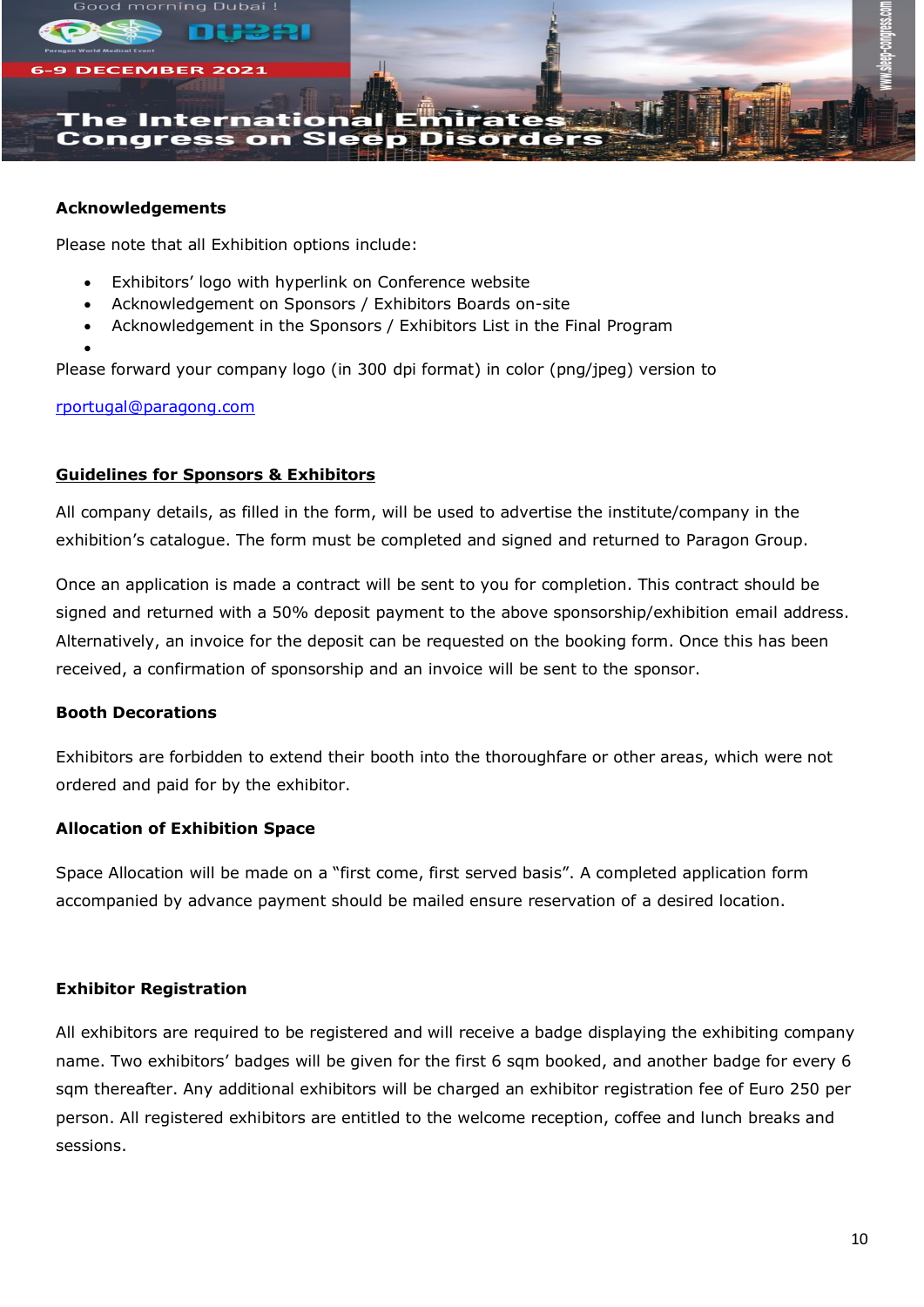

## **Acknowledgements**

Please note that all Exhibition options include:

- Exhibitors' logo with hyperlink on Conference website
- Acknowledgement on Sponsors / Exhibitors Boards on-site
- Acknowledgement in the Sponsors / Exhibitors List in the Final Program

Please forward your company logo (in 300 dpi format) in color (png/jpeg) version to

[rportugal@paragong.com](mailto:rportugal@paragong.com)

•

# **Guidelines for Sponsors & Exhibitors**

All company details, as filled in the form, will be used to advertise the institute/company in the exhibition's catalogue. The form must be completed and signed and returned to Paragon Group.

Once an application is made a contract will be sent to you for completion. This contract should be signed and returned with a 50% deposit payment to the above sponsorship/exhibition email address. Alternatively, an invoice for the deposit can be requested on the booking form. Once this has been received, a confirmation of sponsorship and an invoice will be sent to the sponsor.

# **Booth Decorations**

Exhibitors are forbidden to extend their booth into the thoroughfare or other areas, which were not ordered and paid for by the exhibitor.

# **Allocation of Exhibition Space**

Space Allocation will be made on a "first come, first served basis". A completed application form accompanied by advance payment should be mailed ensure reservation of a desired location.

## **Exhibitor Registration**

All exhibitors are required to be registered and will receive a badge displaying the exhibiting company name. Two exhibitors' badges will be given for the first 6 sqm booked, and another badge for every 6 sqm thereafter. Any additional exhibitors will be charged an exhibitor registration fee of Euro 250 per person. All registered exhibitors are entitled to the welcome reception, coffee and lunch breaks and sessions.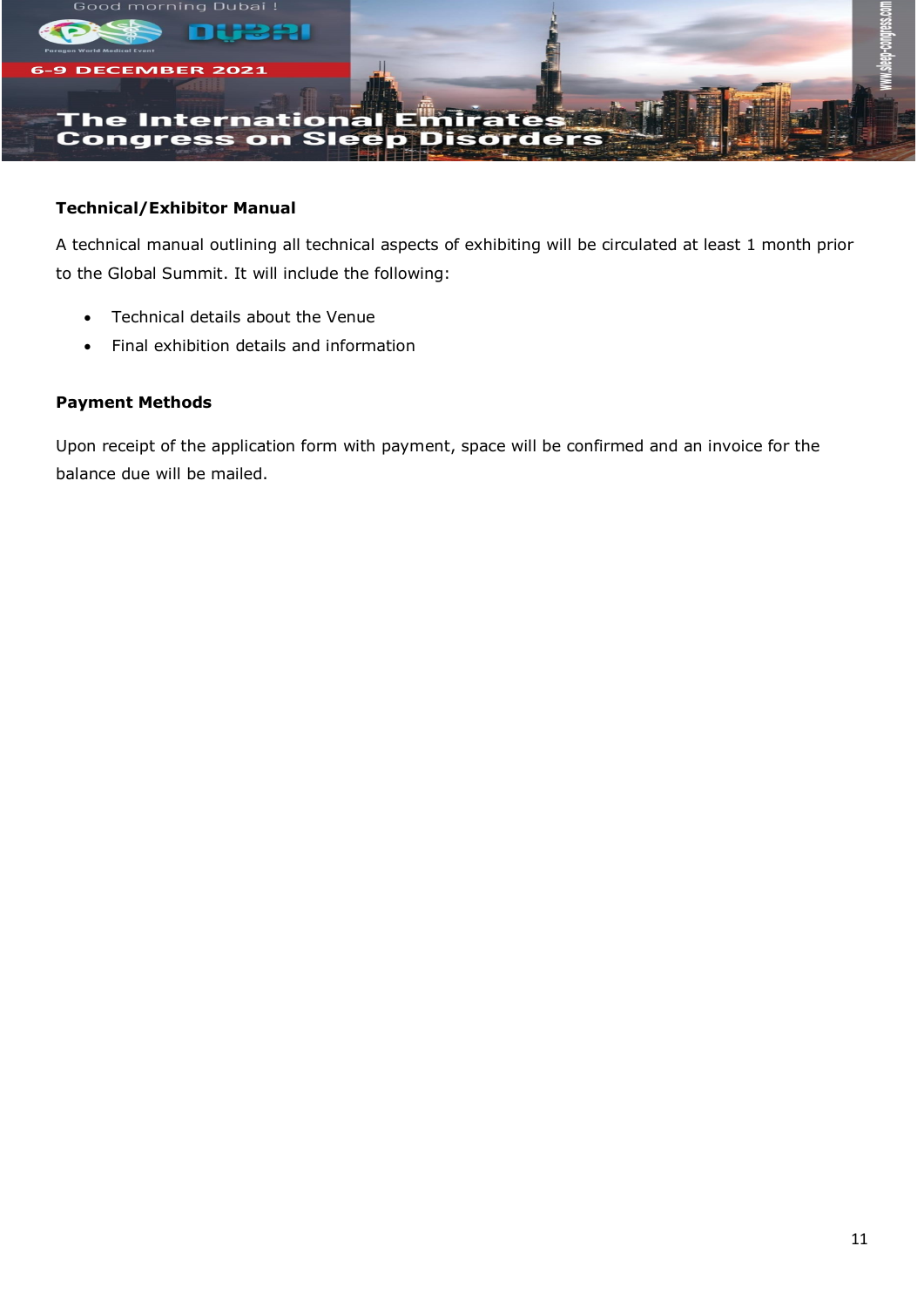

# **Technical/Exhibitor Manual**

A technical manual outlining all technical aspects of exhibiting will be circulated at least 1 month prior to the Global Summit. It will include the following:

- Technical details about the Venue
- Final exhibition details and information

# **Payment Methods**

Upon receipt of the application form with payment, space will be confirmed and an invoice for the balance due will be mailed.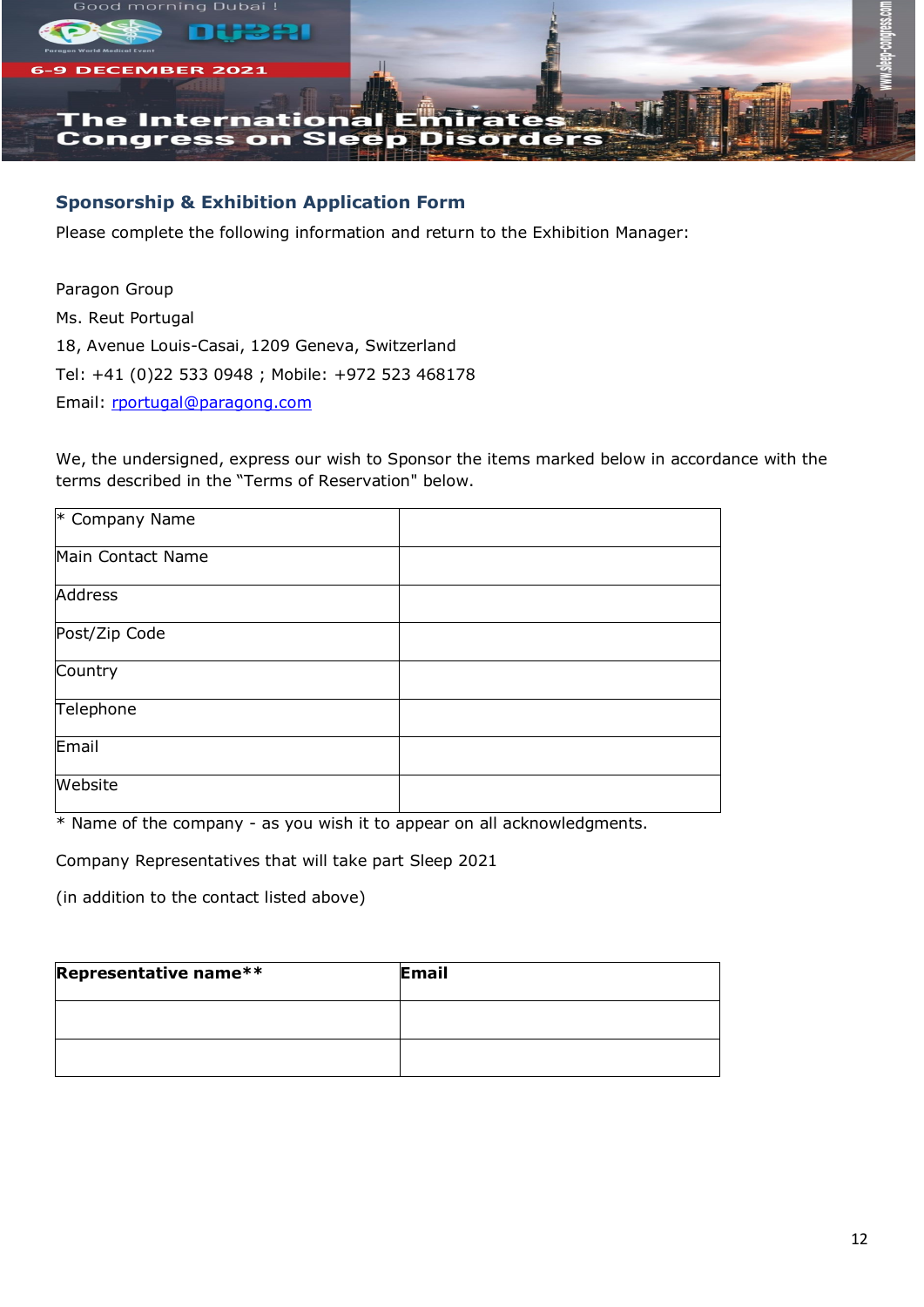

# **Sponsorship & Exhibition Application Form**

Please complete the following information and return to the Exhibition Manager:

Paragon Group Ms. Reut Portugal 18, Avenue Louis-Casai, 1209 Geneva, Switzerland Tel: +41 (0)22 533 0948 ; Mobile: +972 523 468178 Email: [rportugal@paragong.com](mailto:rportugal@paragong.com)

We, the undersigned, express our wish to Sponsor the items marked below in accordance with the terms described in the "Terms of Reservation" below.

| $*$ Company Name  |  |
|-------------------|--|
| Main Contact Name |  |
| Address           |  |
| Post/Zip Code     |  |
| Country           |  |
| Telephone         |  |
| Email             |  |
| Website           |  |

\* Name of the company - as you wish it to appear on all acknowledgments.

Company Representatives that will take part Sleep 2021

(in addition to the contact listed above)

| Representative name** | Email |
|-----------------------|-------|
|                       |       |
|                       |       |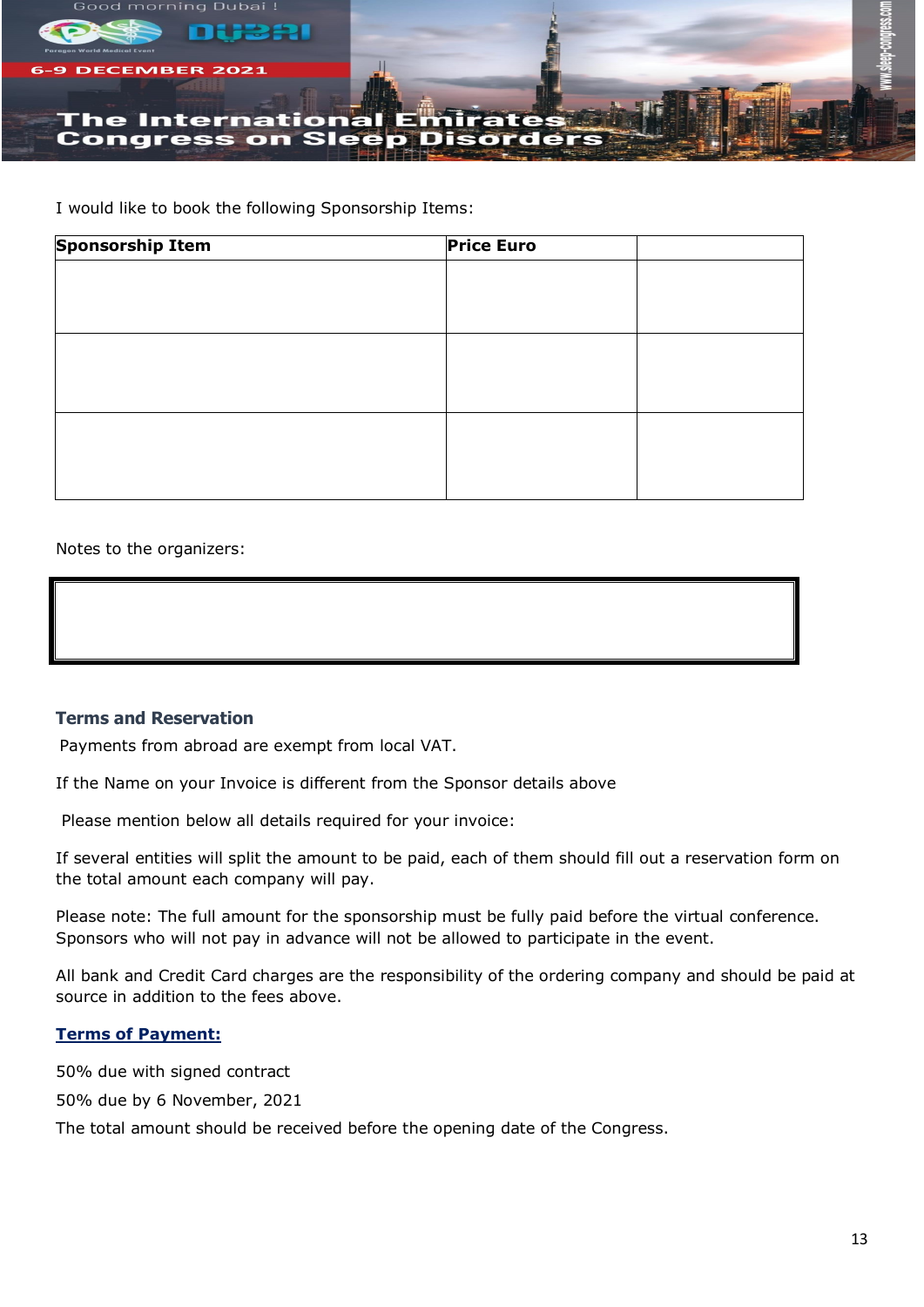

I would like to book the following Sponsorship Items:

| <b>Sponsorship Item</b> | <b>Price Euro</b> |  |
|-------------------------|-------------------|--|
|                         |                   |  |
|                         |                   |  |
|                         |                   |  |
|                         |                   |  |
|                         |                   |  |
|                         |                   |  |
|                         |                   |  |
|                         |                   |  |
|                         |                   |  |
|                         |                   |  |

Notes to the organizers:

# **Terms and Reservation**

Payments from abroad are exempt from local VAT.

If the Name on your Invoice is different from the Sponsor details above

Please mention below all details required for your invoice:

If several entities will split the amount to be paid, each of them should fill out a reservation form on the total amount each company will pay.

Please note: The full amount for the sponsorship must be fully paid before the virtual conference. Sponsors who will not pay in advance will not be allowed to participate in the event.

All bank and Credit Card charges are the responsibility of the ordering company and should be paid at source in addition to the fees above.

# **Terms of Payment:**

50% due with signed contract

50% due by 6 November, 2021

The total amount should be received before the opening date of the Congress.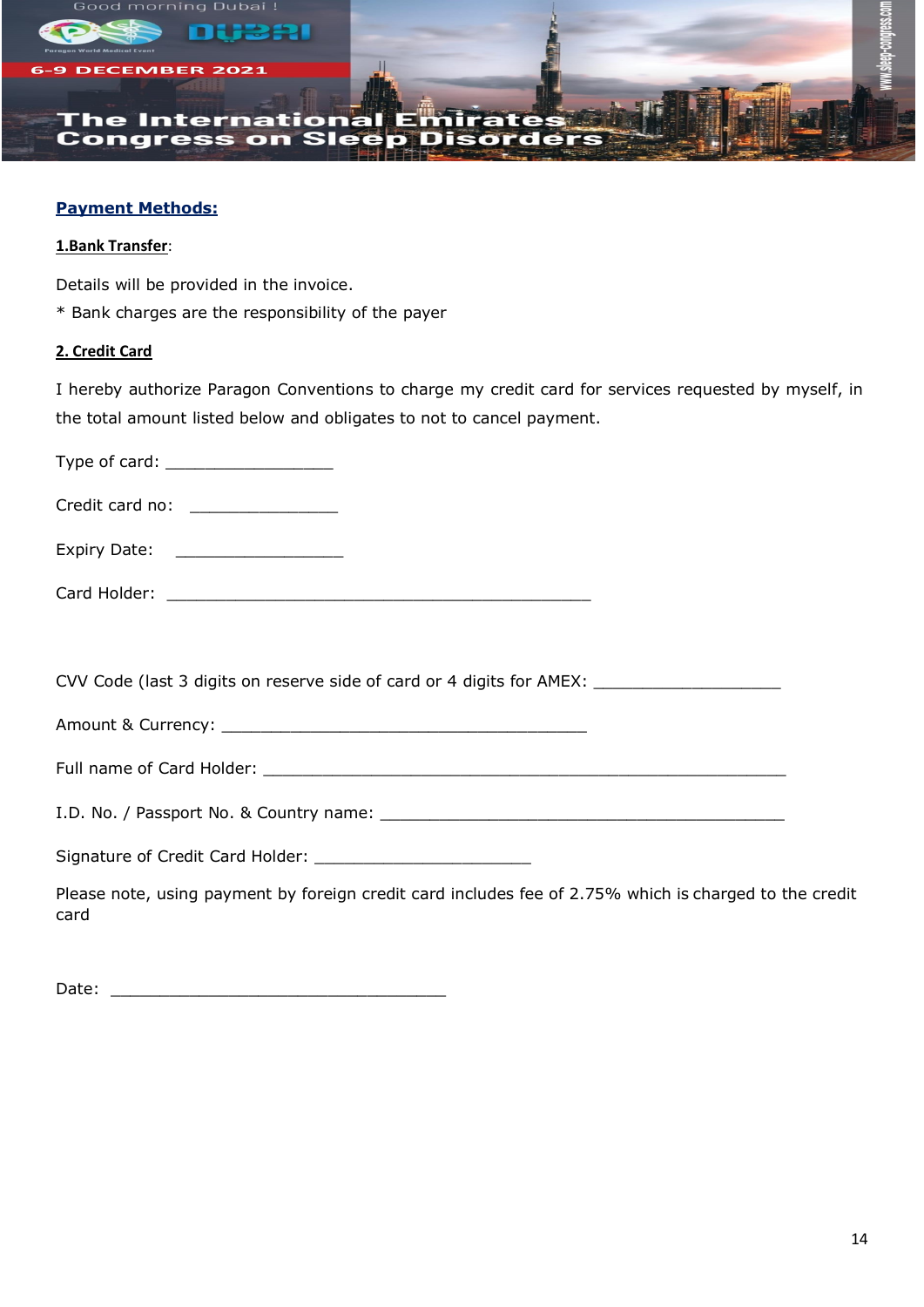

# **Payment Methods:**

# **1.Bank Transfer**:

Details will be provided in the invoice.

\* Bank charges are the responsibility of the payer

# **2. Credit Card**

I hereby authorize Paragon Conventions to charge my credit card for services requested by myself, in the total amount listed below and obligates to not to cancel payment.

| Type of card: ______________________                                                                           |  |
|----------------------------------------------------------------------------------------------------------------|--|
| Credit card no: ________________                                                                               |  |
| Expiry Date: __________________                                                                                |  |
|                                                                                                                |  |
|                                                                                                                |  |
| CVV Code (last 3 digits on reserve side of card or 4 digits for AMEX: ______________________________           |  |
|                                                                                                                |  |
|                                                                                                                |  |
|                                                                                                                |  |
| Signature of Credit Card Holder: __________________________                                                    |  |
| Please note, using payment by foreign credit card includes fee of 2.75% which is charged to the credit<br>card |  |

Date: